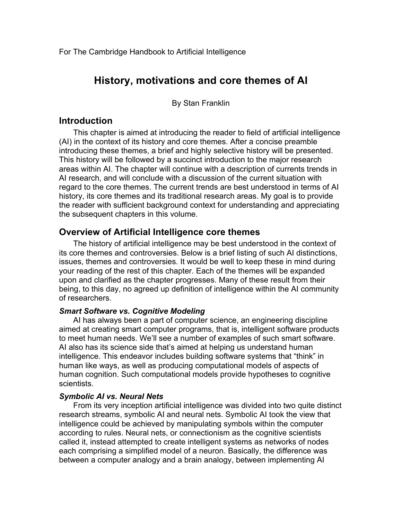For The Cambridge Handbook to Artificial Intelligence

# **History, motivations and core themes of AI**

By Stan Franklin

## **Introduction**

This chapter is aimed at introducing the reader to field of artificial intelligence (AI) in the context of its history and core themes. After a concise preamble introducing these themes, a brief and highly selective history will be presented. This history will be followed by a succinct introduction to the major research areas within AI. The chapter will continue with a description of currents trends in AI research, and will conclude with a discussion of the current situation with regard to the core themes. The current trends are best understood in terms of AI history, its core themes and its traditional research areas. My goal is to provide the reader with sufficient background context for understanding and appreciating the subsequent chapters in this volume.

# **Overview of Artificial Intelligence core themes**

The history of artificial intelligence may be best understood in the context of its core themes and controversies. Below is a brief listing of such AI distinctions, issues, themes and controversies. It would be well to keep these in mind during your reading of the rest of this chapter. Each of the themes will be expanded upon and clarified as the chapter progresses. Many of these result from their being, to this day, no agreed up definition of intelligence within the AI community of researchers.

### *Smart Software vs. Cognitive Modeling*

AI has always been a part of computer science, an engineering discipline aimed at creating smart computer programs, that is, intelligent software products to meet human needs. We'll see a number of examples of such smart software. AI also has its science side that's aimed at helping us understand human intelligence. This endeavor includes building software systems that "think" in human like ways, as well as producing computational models of aspects of human cognition. Such computational models provide hypotheses to cognitive scientists.

### *Symbolic AI vs. Neural Nets*

From its very inception artificial intelligence was divided into two quite distinct research streams, symbolic AI and neural nets. Symbolic AI took the view that intelligence could be achieved by manipulating symbols within the computer according to rules. Neural nets, or connectionism as the cognitive scientists called it, instead attempted to create intelligent systems as networks of nodes each comprising a simplified model of a neuron. Basically, the difference was between a computer analogy and a brain analogy, between implementing AI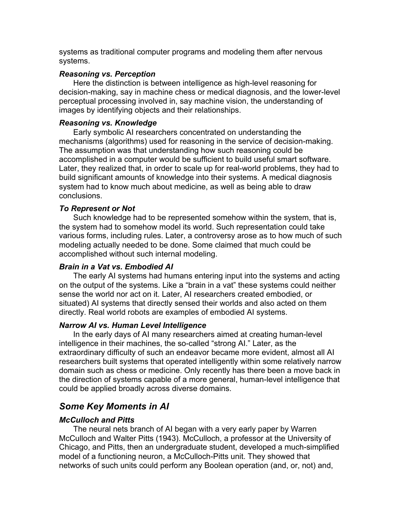systems as traditional computer programs and modeling them after nervous systems.

### *Reasoning vs. Perception*

Here the distinction is between intelligence as high-level reasoning for decision-making, say in machine chess or medical diagnosis, and the lower-level perceptual processing involved in, say machine vision, the understanding of images by identifying objects and their relationships.

### *Reasoning vs. Knowledge*

Early symbolic AI researchers concentrated on understanding the mechanisms (algorithms) used for reasoning in the service of decision-making. The assumption was that understanding how such reasoning could be accomplished in a computer would be sufficient to build useful smart software. Later, they realized that, in order to scale up for real-world problems, they had to build significant amounts of knowledge into their systems. A medical diagnosis system had to know much about medicine, as well as being able to draw conclusions.

### *To Represent or Not*

Such knowledge had to be represented somehow within the system, that is, the system had to somehow model its world. Such representation could take various forms, including rules. Later, a controversy arose as to how much of such modeling actually needed to be done. Some claimed that much could be accomplished without such internal modeling.

### *Brain in a Vat vs. Embodied AI*

The early AI systems had humans entering input into the systems and acting on the output of the systems. Like a "brain in a vat" these systems could neither sense the world nor act on it. Later, AI researchers created embodied, or situated) AI systems that directly sensed their worlds and also acted on them directly. Real world robots are examples of embodied AI systems.

#### *Narrow AI vs. Human Level Intelligence*

In the early days of AI many researchers aimed at creating human-level intelligence in their machines, the so-called "strong AI." Later, as the extraordinary difficulty of such an endeavor became more evident, almost all AI researchers built systems that operated intelligently within some relatively narrow domain such as chess or medicine. Only recently has there been a move back in the direction of systems capable of a more general, human-level intelligence that could be applied broadly across diverse domains.

# *Some Key Moments in AI*

### *McCulloch and Pitts*

The neural nets branch of AI began with a very early paper by Warren McCulloch and Walter Pitts (1943). McCulloch, a professor at the University of Chicago, and Pitts, then an undergraduate student, developed a much-simplified model of a functioning neuron, a McCulloch-Pitts unit. They showed that networks of such units could perform any Boolean operation (and, or, not) and,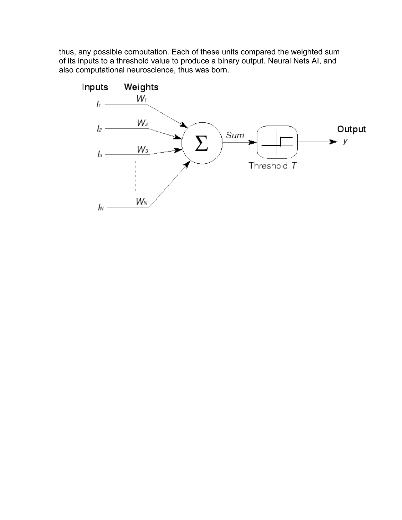thus, any possible computation. Each of these units compared the weighted sum of its inputs to a threshold value to produce a binary output. Neural Nets AI, and also computational neuroscience, thus was born.

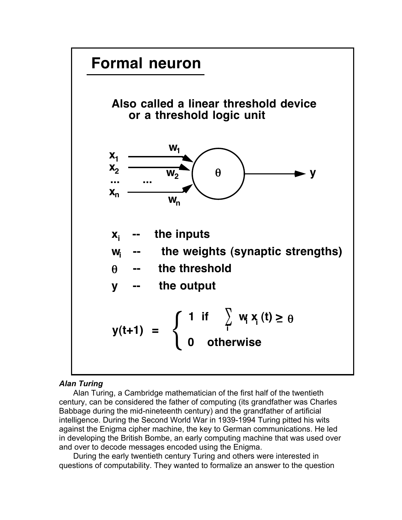

#### *Alan Turing*

Alan Turing, a Cambridge mathematician of the first half of the twentieth century, can be considered the father of computing (its grandfather was Charles Babbage during the mid-nineteenth century) and the grandfather of artificial intelligence. During the Second World War in 1939-1994 Turing pitted his wits against the Enigma cipher machine, the key to German communications. He led in developing the British Bombe, an early computing machine that was used over and over to decode messages encoded using the Enigma.

During the early twentieth century Turing and others were interested in questions of computability. They wanted to formalize an answer to the question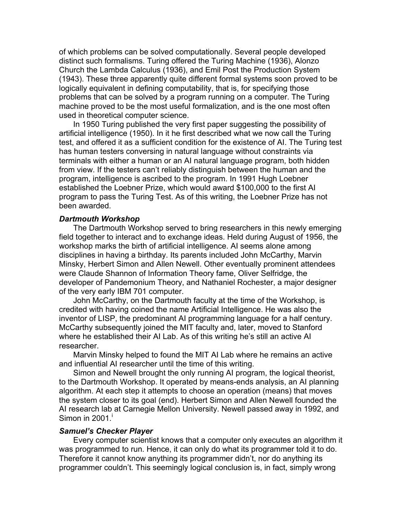of which problems can be solved computationally. Several people developed distinct such formalisms. Turing offered the Turing Machine (1936), Alonzo Church the Lambda Calculus (1936), and Emil Post the Production System (1943). These three apparently quite different formal systems soon proved to be logically equivalent in defining computability, that is, for specifying those problems that can be solved by a program running on a computer. The Turing machine proved to be the most useful formalization, and is the one most often used in theoretical computer science.

In 1950 Turing published the very first paper suggesting the possibility of artificial intelligence (1950). In it he first described what we now call the Turing test, and offered it as a sufficient condition for the existence of AI. The Turing test has human testers conversing in natural language without constraints via terminals with either a human or an AI natural language program, both hidden from view. If the testers can't reliably distinguish between the human and the program, intelligence is ascribed to the program. In 1991 Hugh Loebner established the Loebner Prize, which would award \$100,000 to the first AI program to pass the Turing Test. As of this writing, the Loebner Prize has not been awarded.

#### *Dartmouth Workshop*

The Dartmouth Workshop served to bring researchers in this newly emerging field together to interact and to exchange ideas. Held during August of 1956, the workshop marks the birth of artificial intelligence. AI seems alone among disciplines in having a birthday. Its parents included John McCarthy, Marvin Minsky, Herbert Simon and Allen Newell. Other eventually prominent attendees were Claude Shannon of Information Theory fame, Oliver Selfridge, the developer of Pandemonium Theory, and Nathaniel Rochester, a major designer of the very early IBM 701 computer.

John McCarthy, on the Dartmouth faculty at the time of the Workshop, is credited with having coined the name Artificial Intelligence. He was also the inventor of LISP, the predominant AI programming language for a half century. McCarthy subsequently joined the MIT faculty and, later, moved to Stanford where he established their AI Lab. As of this writing he's still an active AI researcher.

Marvin Minsky helped to found the MIT AI Lab where he remains an active and influential AI researcher until the time of this writing.

Simon and Newell brought the only running AI program, the logical theorist, to the Dartmouth Workshop. It operated by means-ends analysis, an AI planning algorithm. At each step it attempts to choose an operation (means) that moves the system closer to its goal (end). Herbert Simon and Allen Newell founded the AI research lab at Carnegie Mellon University. Newell passed away in 1992, and Simon in  $2001$ .

#### *Samuel's Checker Player*

Every computer scientist knows that a computer only executes an algorithm it was programmed to run. Hence, it can only do what its programmer told it to do. Therefore it cannot know anything its programmer didn't, nor do anything its programmer couldn't. This seemingly logical conclusion is, in fact, simply wrong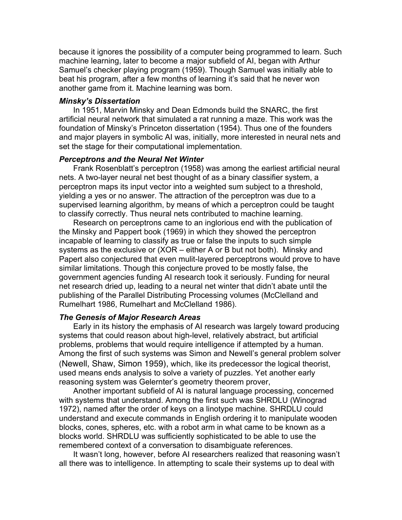because it ignores the possibility of a computer being programmed to learn. Such machine learning, later to become a major subfield of AI, began with Arthur Samuel's checker playing program (1959). Though Samuel was initially able to beat his program, after a few months of learning it's said that he never won another game from it. Machine learning was born.

### *Minsky's Dissertation*

In 1951, Marvin Minsky and Dean Edmonds build the SNARC, the first artificial neural network that simulated a rat running a maze. This work was the foundation of Minsky's Princeton dissertation (1954). Thus one of the founders and major players in symbolic AI was, initially, more interested in neural nets and set the stage for their computational implementation.

### *Perceptrons and the Neural Net Winter*

Frank Rosenblatt's perceptron (1958) was among the earliest artificial neural nets. A two-layer neural net best thought of as a binary classifier system, a perceptron maps its input vector into a weighted sum subject to a threshold, yielding a yes or no answer. The attraction of the perceptron was due to a supervised learning algorithm, by means of which a perceptron could be taught to classify correctly. Thus neural nets contributed to machine learning.

Research on perceptrons came to an inglorious end with the publication of the Minsky and Pappert book (1969) in which they showed the perceptron incapable of learning to classify as true or false the inputs to such simple systems as the exclusive or (XOR – either A or B but not both). Minsky and Papert also conjectured that even mulit-layered perceptrons would prove to have similar limitations. Though this conjecture proved to be mostly false, the government agencies funding AI research took it seriously. Funding for neural net research dried up, leading to a neural net winter that didn't abate until the publishing of the Parallel Distributing Processing volumes (McClelland and Rumelhart 1986, Rumelhart and McClelland 1986).

#### *The Genesis of Major Research Areas*

Early in its history the emphasis of AI research was largely toward producing systems that could reason about high-level, relatively abstract, but artificial problems, problems that would require intelligence if attempted by a human. Among the first of such systems was Simon and Newell's general problem solver (Newell, Shaw, Simon 1959), which, like its predecessor the logical theorist, used means ends analysis to solve a variety of puzzles. Yet another early reasoning system was Gelernter's geometry theorem prover,

Another important subfield of AI is natural language processing, concerned with systems that understand. Among the first such was SHRDLU (Winograd 1972), named after the order of keys on a linotype machine. SHRDLU could understand and execute commands in English ordering it to manipulate wooden blocks, cones, spheres, etc. with a robot arm in what came to be known as a blocks world. SHRDLU was sufficiently sophisticated to be able to use the remembered context of a conversation to disambiguate references.

It wasn't long, however, before AI researchers realized that reasoning wasn't all there was to intelligence. In attempting to scale their systems up to deal with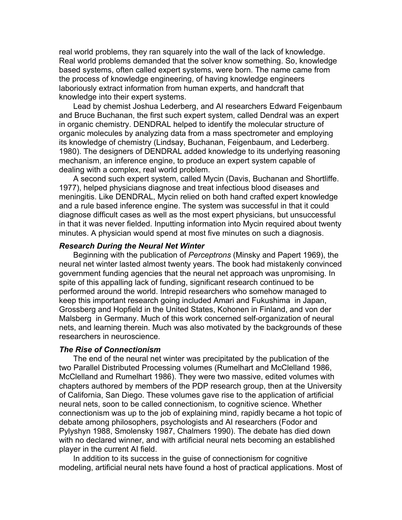real world problems, they ran squarely into the wall of the lack of knowledge. Real world problems demanded that the solver know something. So, knowledge based systems, often called expert systems, were born. The name came from the process of knowledge engineering, of having knowledge engineers laboriously extract information from human experts, and handcraft that knowledge into their expert systems.

Lead by chemist Joshua Lederberg, and AI researchers Edward Feigenbaum and Bruce Buchanan, the first such expert system, called Dendral was an expert in organic chemistry. DENDRAL helped to identify the molecular structure of organic molecules by analyzing data from a mass spectrometer and employing its knowledge of chemistry (Lindsay, Buchanan, Feigenbaum, and Lederberg. 1980). The designers of DENDRAL added knowledge to its underlying reasoning mechanism, an inference engine, to produce an expert system capable of dealing with a complex, real world problem.

A second such expert system, called Mycin (Davis, Buchanan and Shortliffe. 1977), helped physicians diagnose and treat infectious blood diseases and meningitis. Like DENDRAL, Mycin relied on both hand crafted expert knowledge and a rule based inference engine. The system was successful in that it could diagnose difficult cases as well as the most expert physicians, but unsuccessful in that it was never fielded. Inputting information into Mycin required about twenty minutes. A physician would spend at most five minutes on such a diagnosis.

### *Research During the Neural Net Winter*

Beginning with the publication of *Perceptrons* (Minsky and Papert 1969), the neural net winter lasted almost twenty years. The book had mistakenly convinced government funding agencies that the neural net approach was unpromising. In spite of this appalling lack of funding, significant research continued to be performed around the world. Intrepid researchers who somehow managed to keep this important research going included Amari and Fukushima in Japan, Grossberg and Hopfield in the United States, Kohonen in Finland, and von der Malsberg in Germany. Much of this work concerned self-organization of neural nets, and learning therein. Much was also motivated by the backgrounds of these researchers in neuroscience.

#### *The Rise of Connectionism*

The end of the neural net winter was precipitated by the publication of the two Parallel Distributed Processing volumes (Rumelhart and McClelland 1986, McClelland and Rumelhart 1986). They were two massive, edited volumes with chapters authored by members of the PDP research group, then at the University of California, San Diego. These volumes gave rise to the application of artificial neural nets, soon to be called connectionism, to cognitive science. Whether connectionism was up to the job of explaining mind, rapidly became a hot topic of debate among philosophers, psychologists and AI researchers (Fodor and Pylyshyn 1988, Smolensky 1987, Chalmers 1990). The debate has died down with no declared winner, and with artificial neural nets becoming an established player in the current AI field.

In addition to its success in the guise of connectionism for cognitive modeling, artificial neural nets have found a host of practical applications. Most of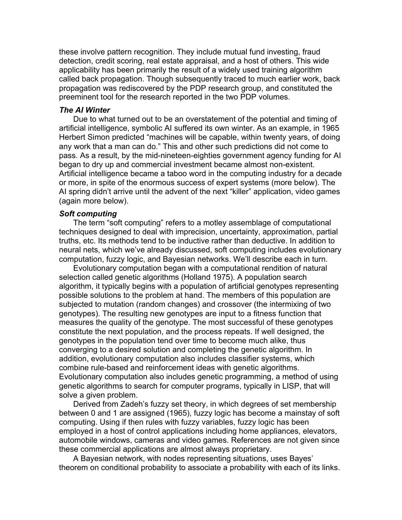these involve pattern recognition. They include mutual fund investing, fraud detection, credit scoring, real estate appraisal, and a host of others. This wide applicability has been primarily the result of a widely used training algorithm called back propagation. Though subsequently traced to much earlier work, back propagation was rediscovered by the PDP research group, and constituted the preeminent tool for the research reported in the two PDP volumes.

#### *The AI Winter*

Due to what turned out to be an overstatement of the potential and timing of artificial intelligence, symbolic AI suffered its own winter. As an example, in 1965 Herbert Simon predicted "machines will be capable, within twenty years, of doing any work that a man can do." This and other such predictions did not come to pass. As a result, by the mid-nineteen-eighties government agency funding for AI began to dry up and commercial investment became almost non-existent. Artificial intelligence became a taboo word in the computing industry for a decade or more, in spite of the enormous success of expert systems (more below). The AI spring didn't arrive until the advent of the next "killer" application, video games (again more below).

#### *Soft computing*

The term "soft computing" refers to a motley assemblage of computational techniques designed to deal with imprecision, uncertainty, approximation, partial truths, etc. Its methods tend to be inductive rather than deductive. In addition to neural nets, which we've already discussed, soft computing includes evolutionary computation, fuzzy logic, and Bayesian networks. We'll describe each in turn.

Evolutionary computation began with a computational rendition of natural selection called genetic algorithms (Holland 1975). A population search algorithm, it typically begins with a population of artificial genotypes representing possible solutions to the problem at hand. The members of this population are subjected to mutation (random changes) and crossover (the intermixing of two genotypes). The resulting new genotypes are input to a fitness function that measures the quality of the genotype. The most successful of these genotypes constitute the next population, and the process repeats. If well designed, the genotypes in the population tend over time to become much alike, thus converging to a desired solution and completing the genetic algorithm. In addition, evolutionary computation also includes classifier systems, which combine rule-based and reinforcement ideas with genetic algorithms. Evolutionary computation also includes genetic programming, a method of using genetic algorithms to search for computer programs, typically in LISP, that will solve a given problem.

Derived from Zadeh's fuzzy set theory, in which degrees of set membership between 0 and 1 are assigned (1965), fuzzy logic has become a mainstay of soft computing. Using if then rules with fuzzy variables, fuzzy logic has been employed in a host of control applications including home appliances, elevators, automobile windows, cameras and video games. References are not given since these commercial applications are almost always proprietary.

A Bayesian network, with nodes representing situations, uses Bayes' theorem on conditional probability to associate a probability with each of its links.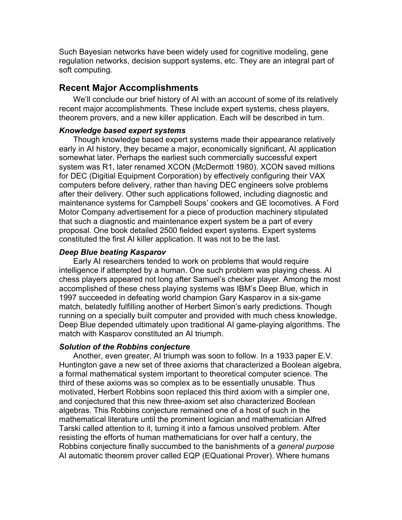Such Bayesian networks have been widely used for cognitive modeling, gene regulation networks, decision support systems, etc. They are an integral part of soft computing.

## **Recent Major Accomplishments**

We'll conclude our brief history of AI with an account of some of its relatively recent major accomplishments. These include expert systems, chess players, theorem provers, and a new killer application. Each will be described in turn.

#### *Knowledge based expert systems*

Though knowledge based expert systems made their appearance relatively early in AI history, they became a major, economically significant, AI application somewhat later. Perhaps the earliest such commercially successful expert system was R1, later renamed XCON (McDermott 1980). XCON saved millions for DEC (Digitial Equipment Corporation) by effectively configuring their VAX computers before delivery, rather than having DEC engineers solve problems after their delivery. Other such applications followed, including diagnostic and maintenance systems for Campbell Soups' cookers and GE locomotives. A Ford Motor Company advertisement for a piece of production machinery stipulated that such a diagnostic and maintenance expert system be a part of every proposal. One book detailed 2500 fielded expert systems. Expert systems constituted the first AI killer application. It was not to be the last.

### *Deep Blue beating Kasparov*

Early AI researchers tended to work on problems that would require intelligence if attempted by a human. One such problem was playing chess. AI chess players appeared not long after Samuel's checker player. Among the most accomplished of these chess playing systems was IBM's Deep Blue, which in 1997 succeeded in defeating world champion Gary Kasparov in a six-game match, belatedly fulfilling another of Herbert Simon's early predictions. Though running on a specially built computer and provided with much chess knowledge, Deep Blue depended ultimately upon traditional AI game-playing algorithms. The match with Kasparov constituted an AI triumph.

### *Solution of the Robbins conjecture*

Another, even greater, AI triumph was soon to follow. In a 1933 paper E.V. Huntington gave a new set of three axioms that characterized a Boolean algebra, a formal mathematical system important to theoretical computer science. The third of these axioms was so complex as to be essentially unusable. Thus motivated, Herbert Robbins soon replaced this third axiom with a simpler one, and conjectured that this new three-axiom set also characterized Boolean algebras. This Robbins conjecture remained one of a host of such in the mathematical literature until the prominent logician and mathematician Alfred Tarski called attention to it, turning it into a famous unsolved problem. After resisting the efforts of human mathematicians for over half a century, the Robbins conjecture finally succumbed to the banishments of a *general purpose* AI automatic theorem prover called EQP (EQuational Prover). Where humans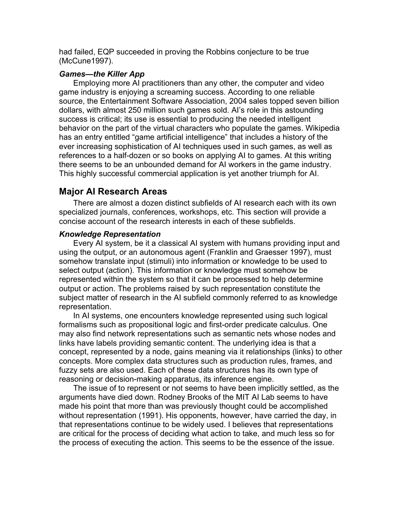had failed, EQP succeeded in proving the Robbins conjecture to be true (McCune1997).

### *Games—the Killer App*

Employing more AI practitioners than any other, the computer and video game industry is enjoying a screaming success. According to one reliable source, the Entertainment Software Association, 2004 sales topped seven billion dollars, with almost 250 million such games sold. AI's role in this astounding success is critical; its use is essential to producing the needed intelligent behavior on the part of the virtual characters who populate the games. Wikipedia has an entry entitled "game artificial intelligence" that includes a history of the ever increasing sophistication of AI techniques used in such games, as well as references to a half-dozen or so books on applying AI to games. At this writing there seems to be an unbounded demand for AI workers in the game industry. This highly successful commercial application is yet another triumph for AI.

# **Major AI Research Areas**

There are almost a dozen distinct subfields of AI research each with its own specialized journals, conferences, workshops, etc. This section will provide a concise account of the research interests in each of these subfields.

#### *Knowledge Representation*

Every AI system, be it a classical AI system with humans providing input and using the output, or an autonomous agent (Franklin and Graesser 1997), must somehow translate input (stimuli) into information or knowledge to be used to select output (action). This information or knowledge must somehow be represented within the system so that it can be processed to help determine output or action. The problems raised by such representation constitute the subject matter of research in the AI subfield commonly referred to as knowledge representation.

In AI systems, one encounters knowledge represented using such logical formalisms such as propositional logic and first-order predicate calculus. One may also find network representations such as semantic nets whose nodes and links have labels providing semantic content. The underlying idea is that a concept, represented by a node, gains meaning via it relationships (links) to other concepts. More complex data structures such as production rules, frames, and fuzzy sets are also used. Each of these data structures has its own type of reasoning or decision-making apparatus, its inference engine.

The issue of to represent or not seems to have been implicitly settled, as the arguments have died down. Rodney Brooks of the MIT AI Lab seems to have made his point that more than was previously thought could be accomplished without representation (1991). His opponents, however, have carried the day, in that representations continue to be widely used. I believes that representations are critical for the process of deciding what action to take, and much less so for the process of executing the action. This seems to be the essence of the issue.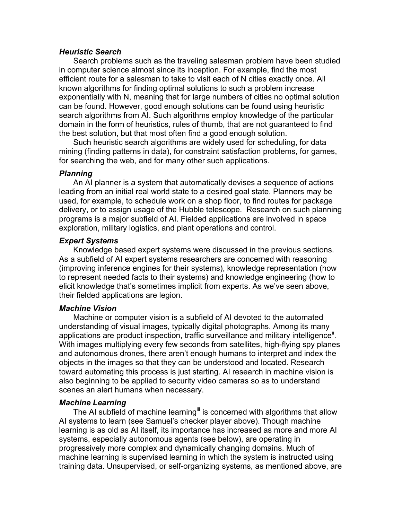#### *Heuristic Search*

Search problems such as the traveling salesman problem have been studied in computer science almost since its inception. For example, find the most efficient route for a salesman to take to visit each of N cities exactly once. All known algorithms for finding optimal solutions to such a problem increase exponentially with N, meaning that for large numbers of cities no optimal solution can be found. However, good enough solutions can be found using heuristic search algorithms from AI. Such algorithms employ knowledge of the particular domain in the form of heuristics, rules of thumb, that are not guaranteed to find the best solution, but that most often find a good enough solution.

Such heuristic search algorithms are widely used for scheduling, for data mining (finding patterns in data), for constraint satisfaction problems, for games, for searching the web, and for many other such applications.

#### *Planning*

An AI planner is a system that automatically devises a sequence of actions leading from an initial real world state to a desired goal state. Planners may be used, for example, to schedule work on a shop floor, to find routes for package delivery, or to assign usage of the Hubble telescope. Research on such planning programs is a major subfield of AI. Fielded applications are involved in space exploration, military logistics, and plant operations and control.

#### *Expert Systems*

Knowledge based expert systems were discussed in the previous sections. As a subfield of AI expert systems researchers are concerned with reasoning (improving inference engines for their systems), knowledge representation (how to represent needed facts to their systems) and knowledge engineering (how to elicit knowledge that's sometimes implicit from experts. As we've seen above, their fielded applications are legion.

#### *Machine Vision*

Machine or computer vision is a subfield of AI devoted to the automated understanding of visual images, typically digital photographs. Among its many applications are product inspection, traffic surveillance and military intelligence<sup>"</sup>. With images multiplying every few seconds from satellites, high-flying spy planes and autonomous drones, there aren't enough humans to interpret and index the objects in the images so that they can be understood and located. Research toward automating this process is just starting. AI research in machine vision is also beginning to be applied to security video cameras so as to understand scenes an alert humans when necessary.

#### *Machine Learning*

The AI subfield of machine learning<sup>iii</sup> is concerned with algorithms that allow AI systems to learn (see Samuel's checker player above). Though machine learning is as old as AI itself, its importance has increased as more and more AI systems, especially autonomous agents (see below), are operating in progressively more complex and dynamically changing domains. Much of machine learning is supervised learning in which the system is instructed using training data. Unsupervised, or self-organizing systems, as mentioned above, are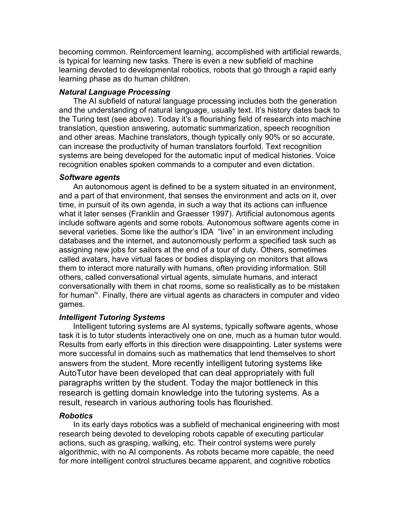becoming common. Reinforcement learning, accomplished with artificial rewards, is typical for learning new tasks. There is even a new subfield of machine learning devoted to developmental robotics, robots that go through a rapid early learning phase as do human children.

### *Natural Language Processing*

The AI subfield of natural language processing includes both the generation and the understanding of natural language, usually text. It's history dates back to the Turing test (see above). Today it's a flourishing field of research into machine translation, question answering, automatic summarization, speech recognition and other areas. Machine translators, though typically only 90% or so accurate, can increase the productivity of human translators fourfold. Text recognition systems are being developed for the automatic input of medical histories. Voice recognition enables spoken commands to a computer and even dictation.

### *Software agents*

An autonomous agent is defined to be a system situated in an environment, and a part of that environment, that senses the environment and acts on it, over time, in pursuit of its own agenda, in such a way that its actions can influence what it later senses (Franklin and Graesser 1997). Artificial autonomous agents include software agents and some robots. Autonomous software agents come in several varieties. Some like the author's IDA "live" in an environment including databases and the internet, and autonomously perform a specified task such as assigning new jobs for sailors at the end of a tour of duty. Others, sometimes called avatars, have virtual faces or bodies displaying on monitors that allows them to interact more naturally with humans, often providing information. Still others, called conversational virtual agents, simulate humans, and interact conversationally with them in chat rooms, some so realistically as to be mistaken for human<sup>iv</sup>. Finally, there are virtual agents as characters in computer and video games.

#### *Intelligent Tutoring Systems*

Intelligent tutoring systems are AI systems, typically software agents, whose task it is to tutor students interactively one on one, much as a human tutor would. Results from early efforts in this direction were disappointing. Later systems were more successful in domains such as mathematics that lend themselves to short answers from the student. More recently intelligent tutoring systems like AutoTutor have been developed that can deal appropriately with full paragraphs written by the student. Today the major bottleneck in this research is getting domain knowledge into the tutoring systems. As a result, research in various authoring tools has flourished.

### *Robotics*

In its early days robotics was a subfield of mechanical engineering with most research being devoted to developing robots capable of executing particular actions, such as grasping, walking, etc. Their control systems were purely algorithmic, with no AI components. As robots became more capable, the need for more intelligent control structures became apparent, and cognitive robotics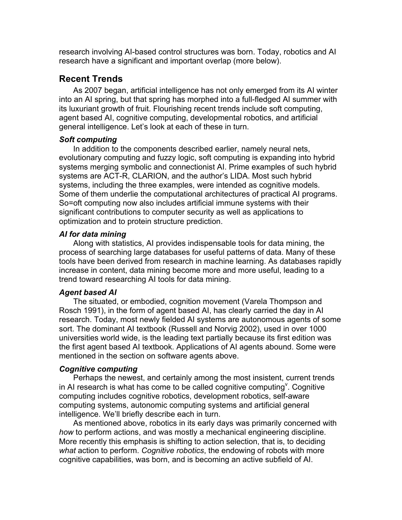research involving AI-based control structures was born. Today, robotics and AI research have a significant and important overlap (more below).

# **Recent Trends**

As 2007 began, artificial intelligence has not only emerged from its AI winter into an AI spring, but that spring has morphed into a full-fledged AI summer with its luxuriant growth of fruit. Flourishing recent trends include soft computing, agent based AI, cognitive computing, developmental robotics, and artificial general intelligence. Let's look at each of these in turn.

### *Soft computing*

In addition to the components described earlier, namely neural nets, evolutionary computing and fuzzy logic, soft computing is expanding into hybrid systems merging symbolic and connectionist AI. Prime examples of such hybrid systems are ACT-R, CLARION, and the author's LIDA. Most such hybrid systems, including the three examples, were intended as cognitive models. Some of them underlie the computational architectures of practical AI programs. So=oft computing now also includes artificial immune systems with their significant contributions to computer security as well as applications to optimization and to protein structure prediction.

### *AI for data mining*

Along with statistics, AI provides indispensable tools for data mining, the process of searching large databases for useful patterns of data. Many of these tools have been derived from research in machine learning. As databases rapidly increase in content, data mining become more and more useful, leading to a trend toward researching AI tools for data mining.

### *Agent based AI*

The situated, or embodied, cognition movement (Varela Thompson and Rosch 1991), in the form of agent based AI, has clearly carried the day in AI research. Today, most newly fielded AI systems are autonomous agents of some sort. The dominant AI textbook (Russell and Norvig 2002), used in over 1000 universities world wide, is the leading text partially because its first edition was the first agent based AI textbook. Applications of AI agents abound. Some were mentioned in the section on software agents above.

### *Cognitive computing*

Perhaps the newest, and certainly among the most insistent, current trends in AI research is what has come to be called cognitive computing<sup>y</sup>. Cognitive computing includes cognitive robotics, development robotics, self-aware computing systems, autonomic computing systems and artificial general intelligence. We'll briefly describe each in turn.

As mentioned above, robotics in its early days was primarily concerned with *how* to perform actions, and was mostly a mechanical engineering discipline. More recently this emphasis is shifting to action selection, that is, to deciding *what* action to perform. *Cognitive robotics*, the endowing of robots with more cognitive capabilities, was born, and is becoming an active subfield of AI.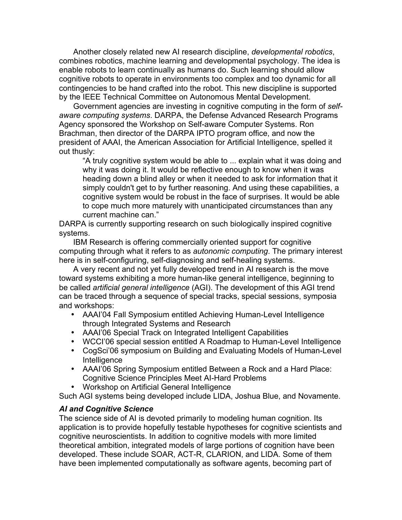Another closely related new AI research discipline, *developmental robotics*, combines robotics, machine learning and developmental psychology. The idea is enable robots to learn continually as humans do. Such learning should allow cognitive robots to operate in environments too complex and too dynamic for all contingencies to be hand crafted into the robot. This new discipline is supported by the IEEE Technical Committee on Autonomous Mental Development.

Government agencies are investing in cognitive computing in the form of *selfaware computing systems*. DARPA, the Defense Advanced Research Programs Agency sponsored the Workshop on Self-aware Computer Systems. Ron Brachman, then director of the DARPA IPTO program office, and now the president of AAAI, the American Association for Artificial Intelligence, spelled it out thusly:

"A truly cognitive system would be able to ... explain what it was doing and why it was doing it. It would be reflective enough to know when it was heading down a blind alley or when it needed to ask for information that it simply couldn't get to by further reasoning. And using these capabilities, a cognitive system would be robust in the face of surprises. It would be able to cope much more maturely with unanticipated circumstances than any current machine can."

DARPA is currently supporting research on such biologically inspired cognitive systems.

IBM Research is offering commercially oriented support for cognitive computing through what it refers to as *autonomic computing*. The primary interest here is in self-configuring, self-diagnosing and self-healing systems.

A very recent and not yet fully developed trend in AI research is the move toward systems exhibiting a more human-like general intelligence, beginning to be called *artificial general intelligence* (AGI). The development of this AGI trend can be traced through a sequence of special tracks, special sessions, symposia and workshops:

- AAAI'04 Fall Symposium entitled Achieving Human-Level Intelligence through Integrated Systems and Research
- AAAI'06 Special Track on Integrated Intelligent Capabilities
- WCCI'06 special session entitled A Roadmap to Human-Level Intelligence
- CogSci'06 symposium on Building and Evaluating Models of Human-Level Intelligence
- AAAI'06 Spring Symposium entitled Between a Rock and a Hard Place: Cognitive Science Principles Meet AI-Hard Problems
- Workshop on Artificial General Intelligence

Such AGI systems being developed include LIDA, Joshua Blue, and Novamente.

### *AI and Cognitive Science*

The science side of AI is devoted primarily to modeling human cognition. Its application is to provide hopefully testable hypotheses for cognitive scientists and cognitive neuroscientists. In addition to cognitive models with more limited theoretical ambition, integrated models of large portions of cognition have been developed. These include SOAR, ACT-R, CLARION, and LIDA. Some of them have been implemented computationally as software agents, becoming part of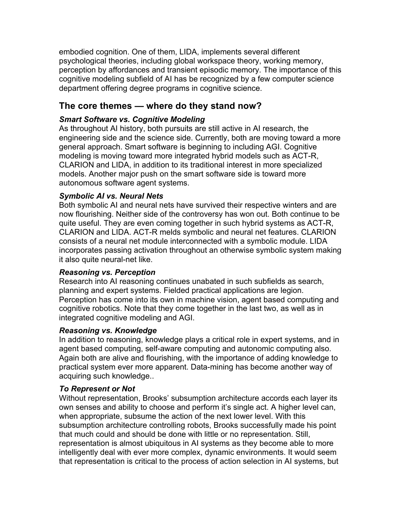embodied cognition. One of them, LIDA, implements several different psychological theories, including global workspace theory, working memory, perception by affordances and transient episodic memory. The importance of this cognitive modeling subfield of AI has be recognized by a few computer science department offering degree programs in cognitive science.

# **The core themes — where do they stand now?**

### *Smart Software vs. Cognitive Modeling*

As throughout AI history, both pursuits are still active in AI research, the engineering side and the science side. Currently, both are moving toward a more general approach. Smart software is beginning to including AGI. Cognitive modeling is moving toward more integrated hybrid models such as ACT-R, CLARION and LIDA, in addition to its traditional interest in more specialized models. Another major push on the smart software side is toward more autonomous software agent systems.

### *Symbolic AI vs. Neural Nets*

Both symbolic AI and neural nets have survived their respective winters and are now flourishing. Neither side of the controversy has won out. Both continue to be quite useful. They are even coming together in such hybrid systems as ACT-R, CLARION and LIDA. ACT-R melds symbolic and neural net features. CLARION consists of a neural net module interconnected with a symbolic module. LIDA incorporates passing activation throughout an otherwise symbolic system making it also quite neural-net like.

### *Reasoning vs. Perception*

Research into AI reasoning continues unabated in such subfields as search, planning and expert systems. Fielded practical applications are legion. Perception has come into its own in machine vision, agent based computing and cognitive robotics. Note that they come together in the last two, as well as in integrated cognitive modeling and AGI.

### *Reasoning vs. Knowledge*

In addition to reasoning, knowledge plays a critical role in expert systems, and in agent based computing, self-aware computing and autonomic computing also. Again both are alive and flourishing, with the importance of adding knowledge to practical system ever more apparent. Data-mining has become another way of acquiring such knowledge..

### *To Represent or Not*

Without representation, Brooks' subsumption architecture accords each layer its own senses and ability to choose and perform it's single act. A higher level can, when appropriate, subsume the action of the next lower level. With this subsumption architecture controlling robots, Brooks successfully made his point that much could and should be done with little or no representation. Still, representation is almost ubiquitous in AI systems as they become able to more intelligently deal with ever more complex, dynamic environments. It would seem that representation is critical to the process of action selection in AI systems, but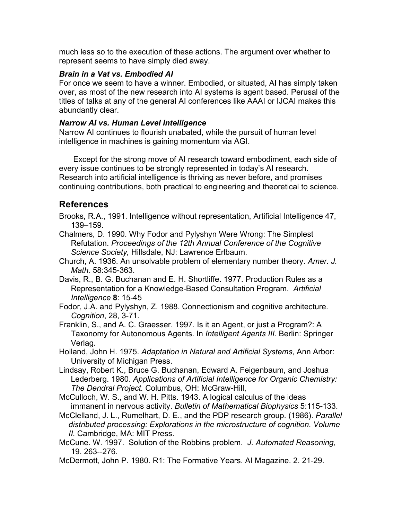much less so to the execution of these actions. The argument over whether to represent seems to have simply died away.

# *Brain in a Vat vs. Embodied AI*

For once we seem to have a winner. Embodied, or situated, AI has simply taken over, as most of the new research into AI systems is agent based. Perusal of the titles of talks at any of the general AI conferences like AAAI or IJCAI makes this abundantly clear.

### *Narrow AI vs. Human Level Intelligence*

Narrow AI continues to flourish unabated, while the pursuit of human level intelligence in machines is gaining momentum via AGI.

Except for the strong move of AI research toward embodiment, each side of every issue continues to be strongly represented in today's AI research. Research into artificial intelligence is thriving as never before, and promises continuing contributions, both practical to engineering and theoretical to science.

# **References**

Brooks, R.A., 1991. Intelligence without representation, Artificial Intelligence 47, 139–159.

Chalmers, D. 1990. Why Fodor and Pylyshyn Were Wrong: The Simplest Refutation. *Proceedings of the 12th Annual Conference of the Cognitive Science Society,* Hillsdale, NJ: Lawrence Erlbaum.

Church, A. 1936. An unsolvable problem of elementary number theory. *Amer. J. Math.* 58:345-363.

Davis, R., B. G. Buchanan and E. H. Shortliffe. 1977. Production Rules as a Representation for a Knowledge-Based Consultation Program. *Artificial Intelligence* **8**: 15-45

Fodor, J.A. and Pylyshyn, Z. 1988. Connectionism and cognitive architecture. *Cognition*, 28, 3-71.

Franklin, S., and A. C. Graesser. 1997. Is it an Agent, or just a Program?: A Taxonomy for Autonomous Agents. In *Intelligent Agents III*. Berlin: Springer Verlag.

Holland, John H. 1975. *Adaptation in Natural and Artificial Systems*, Ann Arbor: University of Michigan Press.

Lindsay, Robert K., Bruce G. Buchanan, Edward A. Feigenbaum, and Joshua Lederberg. 1980. *Applications of Artificial Intelligence for Organic Chemistry: The Dendral Project.* Columbus, OH: McGraw-Hill,

McCulloch, W. S., and W. H. Pitts. 1943. A logical calculus of the ideas immanent in nervous activity. *Bulletin of Mathematical Biophysics* 5:115-133.

McClelland, J. L., Rumelhart, D. E., and the PDP research group. (1986). *Parallel distributed processing: Explorations in the microstructure of cognition. Volume II.* Cambridge, MA: MIT Press.

McCune. W. 1997. Solution of the Robbins problem. *J. Automated Reasoning*, 19. 263--276.

McDermott, John P. 1980. R1: The Formative Years. AI Magazine. 2. 21-29.